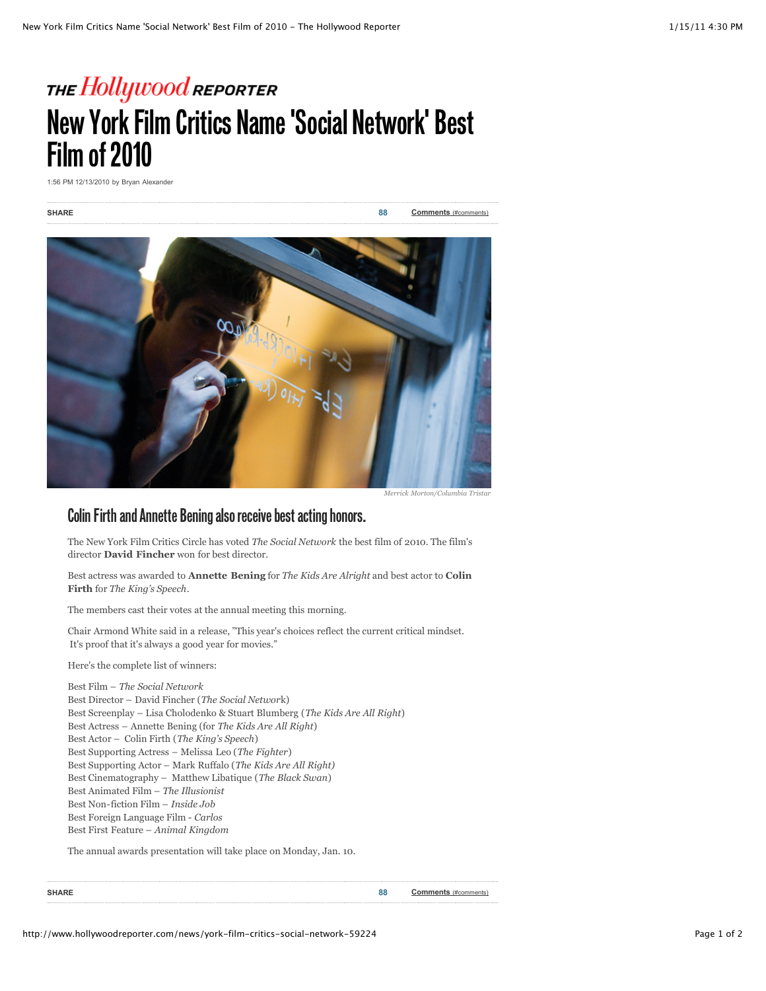## THE Hollywood reporter **New York Film Critics Name 'Social Network' Best Film of 2010**

1:56 PM 12/13/2010 by Bryan Alexander

**SHARE 88 [Comments](http://www.hollywoodreporter.com/news/york-film-critics-social-network-59224#comments)** (#comments)



*Merrick Morton/Columbia Tristar*

## **Colin Firth and Annette Bening also receive best acting honors.**

The New York Film Critics Circle has voted *The Social Network* the best film of 2010. The film's director **David Fincher** won for best director.

Best actress was awarded to **Annette Bening** for *The Kids Are Alright* and best actor to **Colin Firth** for *The King's Speech*.

The members cast their votes at the annual meeting this morning.

Chair Armond White said in a release, "This year's choices reflect the current critical mindset. It's proof that it's always a good year for movies."

Here's the complete list of winners:

Best Film – *The Social Network* Best Director – David Fincher (*The Social Networ*k) Best Screenplay – Lisa Cholodenko & Stuart Blumberg (*The Kids Are All Right*) Best Actress – Annette Bening (for *The Kids Are All Right*) Best Actor – Colin Firth (*The King's Speech*) Best Supporting Actress – Melissa Leo (*The Fighter*) Best Supporting Actor – Mark Ruffalo (*The Kids Are All Right)* Best Cinematography – Matthew Libatique (*The Black Swan*) Best Animated Film – *The Illusionist* Best Non-fiction Film – *Inside Job* Best Foreign Language Film - *Carlos* Best First Feature – *Animal Kingdom*

The annual awards presentation will take place on Monday, Jan. 10.

**SHARE 88 Comments** (#comments)